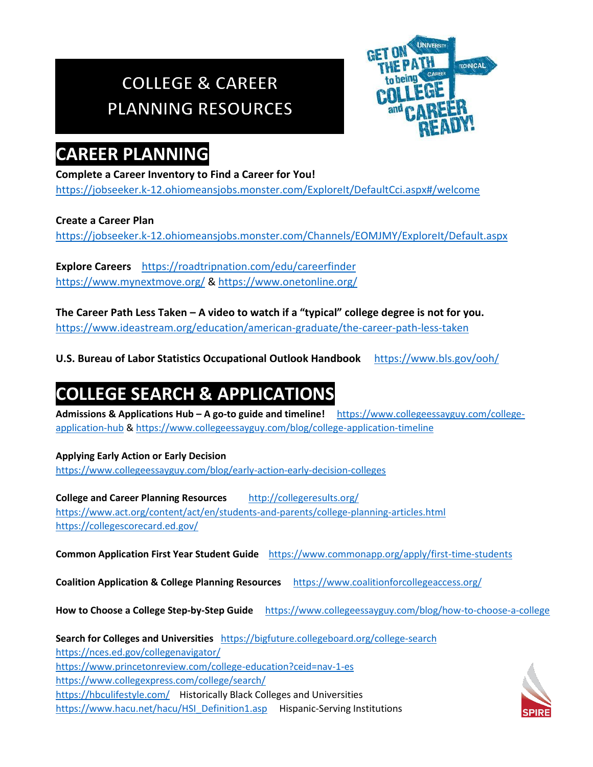# **COLLEGE & CAREER PLANNING RESOURCES**



### **CAREER PLANNING**

#### **Complete a Career Inventory to Find a Career for You!**

<https://jobseeker.k-12.ohiomeansjobs.monster.com/ExploreIt/DefaultCci.aspx#/welcome>

#### **Create a Career Plan**

<https://jobseeker.k-12.ohiomeansjobs.monster.com/Channels/EOMJMY/ExploreIt/Default.aspx>

**Explore Careers** https://roadtripnation.com/edu/careerfinder <https://www.mynextmove.org/> &<https://www.onetonline.org/>

**The Career Path Less Taken – A video to watch if a "typical" college degree is not for you.** <https://www.ideastream.org/education/american-graduate/the-career-path-less-taken>

**U.S. Bureau of Labor Statistics Occupational Outlook Handbook** <https://www.bls.gov/ooh/>

# **COLLEGE SEARCH & APPLICATIONS**

**Admissions & Applications Hub – A go-to guide and timeline!** [https://www.collegeessayguy.com/college](https://www.collegeessayguy.com/college-application-hub)[application-hub](https://www.collegeessayguy.com/college-application-hub) &<https://www.collegeessayguy.com/blog/college-application-timeline>

#### **Applying Early Action or Early Decision**

<https://www.collegeessayguy.com/blog/early-action-early-decision-colleges>

**College and Career Planning Resources** <http://collegeresults.org/> <https://www.act.org/content/act/en/students-and-parents/college-planning-articles.html> <https://collegescorecard.ed.gov/>

**Common Application First Year Student Guide** <https://www.commonapp.org/apply/first-time-students>

**Coalition Application & College Planning Resources** <https://www.coalitionforcollegeaccess.org/>

**How to Choose a College Step-by-Step Guide** <https://www.collegeessayguy.com/blog/how-to-choose-a-college>

**Search for Colleges and Universities** <https://bigfuture.collegeboard.org/college-search> <https://nces.ed.gov/collegenavigator/> <https://www.princetonreview.com/college-education?ceid=nav-1-es> <https://www.collegexpress.com/college/search/> <https://hbculifestyle.com/>Historically Black Colleges and Universities [https://www.hacu.net/hacu/HSI\\_Definition1.asp](https://www.hacu.net/hacu/HSI_Definition1.asp) Hispanic-Serving Institutions

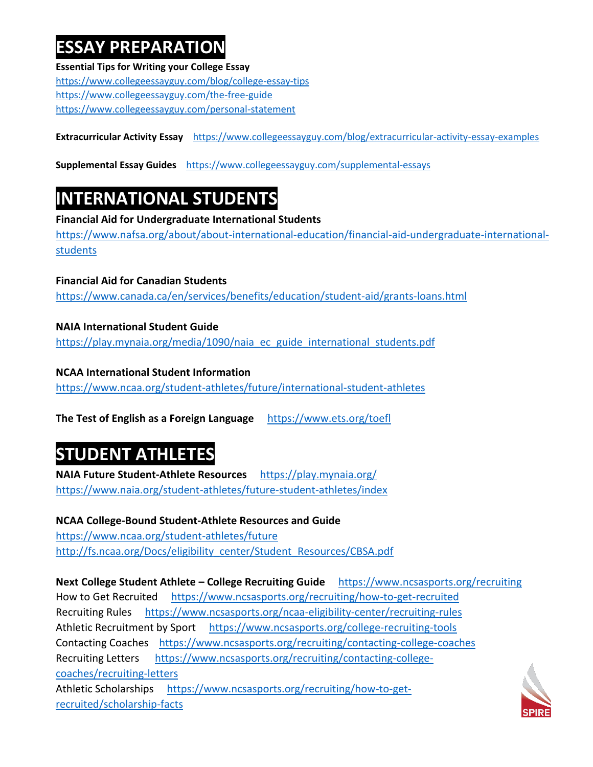## **ESSAY PREPARATION**

**Essential Tips for Writing your College Essay** <https://www.collegeessayguy.com/blog/college-essay-tips> <https://www.collegeessayguy.com/the-free-guide> <https://www.collegeessayguy.com/personal-statement>

**Extracurricular Activity Essay** <https://www.collegeessayguy.com/blog/extracurricular-activity-essay-examples>

**Supplemental Essay Guides** <https://www.collegeessayguy.com/supplemental-essays>

## **INTERNATIONAL STUDENTS**

**Financial Aid for Undergraduate International Students**

[https://www.nafsa.org/about/about-international-education/financial-aid-undergraduate-international](https://www.nafsa.org/about/about-international-education/financial-aid-undergraduate-international-students)[students](https://www.nafsa.org/about/about-international-education/financial-aid-undergraduate-international-students)

**Financial Aid for Canadian Students** <https://www.canada.ca/en/services/benefits/education/student-aid/grants-loans.html>

**NAIA International Student Guide**  [https://play.mynaia.org/media/1090/naia\\_ec\\_guide\\_international\\_students.pdf](https://play.mynaia.org/media/1090/naia_ec_guide_international_students.pdf)

**NCAA International Student Information** <https://www.ncaa.org/student-athletes/future/international-student-athletes>

**The Test of English as a Foreign Language** <https://www.ets.org/toefl>

# **STUDENT ATHLETES**

**NAIA Future Student-Athlete Resources** <https://play.mynaia.org/> <https://www.naia.org/student-athletes/future-student-athletes/index>

**NCAA College-Bound Student-Athlete Resources and Guide** <https://www.ncaa.org/student-athletes/future> [http://fs.ncaa.org/Docs/eligibility\\_center/Student\\_Resources/CBSA.pdf](http://fs.ncaa.org/Docs/eligibility_center/Student_Resources/CBSA.pdf)

**Next College Student Athlete – College Recruiting Guide** <https://www.ncsasports.org/recruiting> How to Get Recruited <https://www.ncsasports.org/recruiting/how-to-get-recruited> Recruiting Rules <https://www.ncsasports.org/ncaa-eligibility-center/recruiting-rules> Athletic Recruitment by Sport <https://www.ncsasports.org/college-recruiting-tools> Contacting Coaches <https://www.ncsasports.org/recruiting/contacting-college-coaches> Recruiting Letters [https://www.ncsasports.org/recruiting/contacting-college](https://www.ncsasports.org/recruiting/contacting-college-coaches/recruiting-letters)[coaches/recruiting-letters](https://www.ncsasports.org/recruiting/contacting-college-coaches/recruiting-letters) Athletic Scholarships [https://www.ncsasports.org/recruiting/how-to-get](https://www.ncsasports.org/recruiting/how-to-get-recruited/scholarship-facts)[recruited/scholarship-facts](https://www.ncsasports.org/recruiting/how-to-get-recruited/scholarship-facts)

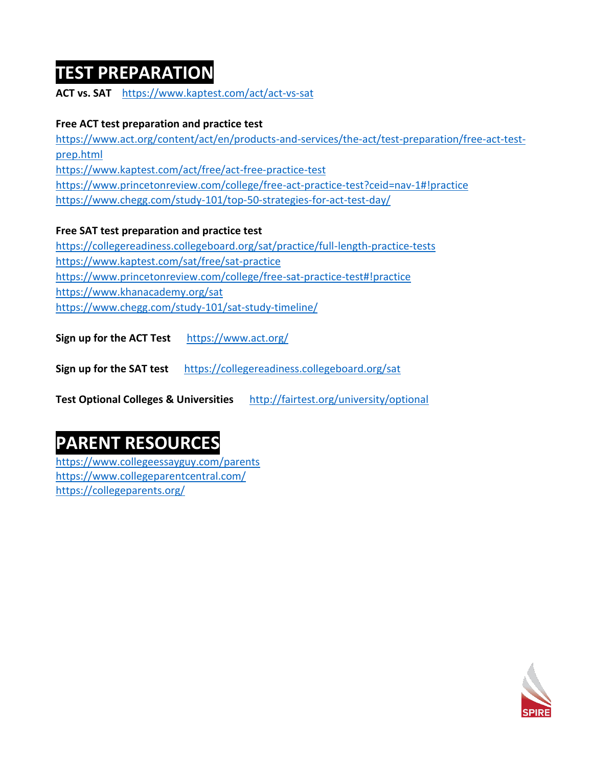### **TEST PREPARATION**

**ACT vs. SAT** <https://www.kaptest.com/act/act-vs-sat>

#### **Free ACT test preparation and practice test**

[https://www.act.org/content/act/en/products-and-services/the-act/test-preparation/free-act-test](https://www.act.org/content/act/en/products-and-services/the-act/test-preparation/free-act-test-prep.html)[prep.html](https://www.act.org/content/act/en/products-and-services/the-act/test-preparation/free-act-test-prep.html) <https://www.kaptest.com/act/free/act-free-practice-test> <https://www.princetonreview.com/college/free-act-practice-test?ceid=nav-1#!practice> <https://www.chegg.com/study-101/top-50-strategies-for-act-test-day/>

**Free SAT test preparation and practice test** 

<https://collegereadiness.collegeboard.org/sat/practice/full-length-practice-tests> <https://www.kaptest.com/sat/free/sat-practice> <https://www.princetonreview.com/college/free-sat-practice-test#!practice> <https://www.khanacademy.org/sat> <https://www.chegg.com/study-101/sat-study-timeline/>

**Sign up for the ACT Test** <https://www.act.org/>

**Sign up for the SAT test** <https://collegereadiness.collegeboard.org/sat>

**Test Optional Colleges & Universities** <http://fairtest.org/university/optional>

# **PARENT RESOURCES**

<https://www.collegeessayguy.com/parents> <https://www.collegeparentcentral.com/> <https://collegeparents.org/>